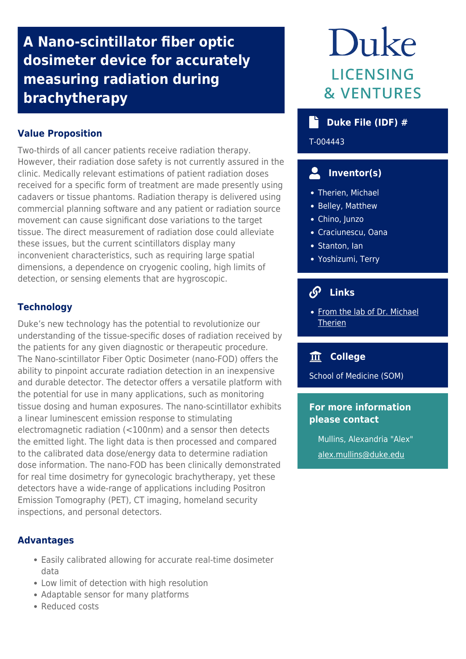# **A Nano-scintillator fiber optic dosimeter device for accurately measuring radiation during brachytherapy**

# **Value Proposition**

Two-thirds of all cancer patients receive radiation therapy. However, their radiation dose safety is not currently assured in the clinic. Medically relevant estimations of patient radiation doses received for a specific form of treatment are made presently using cadavers or tissue phantoms. Radiation therapy is delivered using commercial planning software and any patient or radiation source movement can cause significant dose variations to the target tissue. The direct measurement of radiation dose could alleviate these issues, but the current scintillators display many inconvenient characteristics, such as requiring large spatial dimensions, a dependence on cryogenic cooling, high limits of detection, or sensing elements that are hygroscopic.

# **Technology**

Duke's new technology has the potential to revolutionize our understanding of the tissue-specific doses of radiation received by the patients for any given diagnostic or therapeutic procedure. The Nano-scintillator Fiber Optic Dosimeter (nano-FOD) offers the ability to pinpoint accurate radiation detection in an inexpensive and durable detector. The detector offers a versatile platform with the potential for use in many applications, such as monitoring tissue dosing and human exposures. The nano-scintillator exhibits a linear luminescent emission response to stimulating electromagnetic radiation (<100nm) and a sensor then detects the emitted light. The light data is then processed and compared to the calibrated data dose/energy data to determine radiation dose information. The nano-FOD has been clinically demonstrated for real time dosimetry for gynecologic brachytherapy, yet these detectors have a wide-range of applications including Positron Emission Tomography (PET), CT imaging, homeland security inspections, and personal detectors.

### **Advantages**

- Easily calibrated allowing for accurate real-time dosimeter data
- Low limit of detection with high resolution
- Adaptable sensor for many platforms
- Reduced costs

# Duke **LICENSING & VENTURES**

# **Duke File (IDF) #**

T-004443

# **Inventor(s)**

- Therien, Michael
- Belley, Matthew
- Chino, Junzo
- Craciunescu, Oana
- Stanton, Ian
- Yoshizumi, Terry

#### $\mathcal{S}$  **Links**

• [From the lab of Dr. Michael](https://sites.duke.edu/therienlab/) **[Therien](https://sites.duke.edu/therienlab/)** 

# **College**

School of Medicine (SOM)

# **For more information please contact**

Mullins, Alexandria "Alex" [alex.mullins@duke.edu](mailto:alex.mullins@duke.edu)